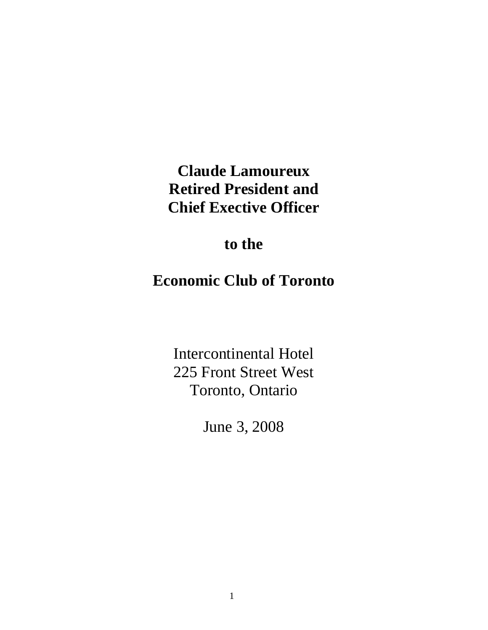# **Claude Lamoureux Retired President and Chief Exective Officer**

### **to the**

## **Economic Club of Toronto**

Intercontinental Hotel 225 Front Street West Toronto, Ontario

June 3, 2008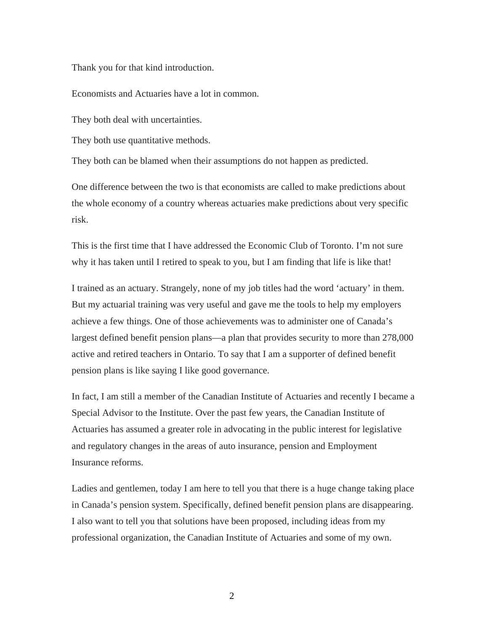Thank you for that kind introduction.

Economists and Actuaries have a lot in common.

They both deal with uncertainties.

They both use quantitative methods.

They both can be blamed when their assumptions do not happen as predicted.

One difference between the two is that economists are called to make predictions about the whole economy of a country whereas actuaries make predictions about very specific risk.

This is the first time that I have addressed the Economic Club of Toronto. I'm not sure why it has taken until I retired to speak to you, but I am finding that life is like that!

I trained as an actuary. Strangely, none of my job titles had the word 'actuary' in them. But my actuarial training was very useful and gave me the tools to help my employers achieve a few things. One of those achievements was to administer one of Canada's largest defined benefit pension plans—a plan that provides security to more than 278,000 active and retired teachers in Ontario. To say that I am a supporter of defined benefit pension plans is like saying I like good governance.

In fact, I am still a member of the Canadian Institute of Actuaries and recently I became a Special Advisor to the Institute. Over the past few years, the Canadian Institute of Actuaries has assumed a greater role in advocating in the public interest for legislative and regulatory changes in the areas of auto insurance, pension and Employment Insurance reforms.

Ladies and gentlemen, today I am here to tell you that there is a huge change taking place in Canada's pension system. Specifically, defined benefit pension plans are disappearing. I also want to tell you that solutions have been proposed, including ideas from my professional organization, the Canadian Institute of Actuaries and some of my own.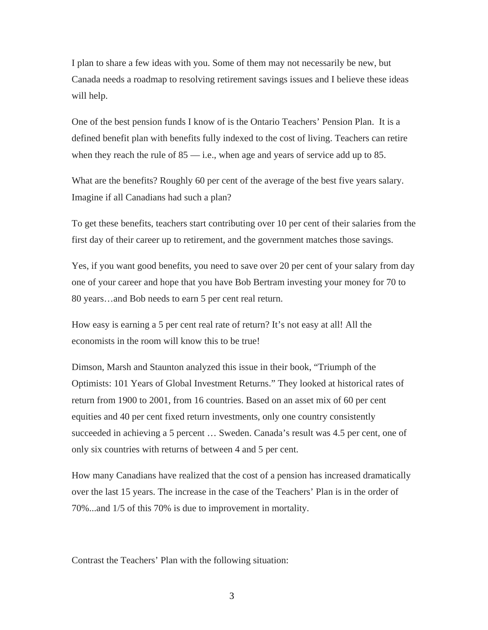I plan to share a few ideas with you. Some of them may not necessarily be new, but Canada needs a roadmap to resolving retirement savings issues and I believe these ideas will help.

One of the best pension funds I know of is the Ontario Teachers' Pension Plan. It is a defined benefit plan with benefits fully indexed to the cost of living. Teachers can retire when they reach the rule of  $85$  — i.e., when age and years of service add up to  $85$ .

What are the benefits? Roughly 60 per cent of the average of the best five years salary. Imagine if all Canadians had such a plan?

To get these benefits, teachers start contributing over 10 per cent of their salaries from the first day of their career up to retirement, and the government matches those savings.

Yes, if you want good benefits, you need to save over 20 per cent of your salary from day one of your career and hope that you have Bob Bertram investing your money for 70 to 80 years…and Bob needs to earn 5 per cent real return.

How easy is earning a 5 per cent real rate of return? It's not easy at all! All the economists in the room will know this to be true!

Dimson, Marsh and Staunton analyzed this issue in their book, "Triumph of the Optimists: 101 Years of Global Investment Returns." They looked at historical rates of return from 1900 to 2001, from 16 countries. Based on an asset mix of 60 per cent equities and 40 per cent fixed return investments, only one country consistently succeeded in achieving a 5 percent … Sweden. Canada's result was 4.5 per cent, one of only six countries with returns of between 4 and 5 per cent.

How many Canadians have realized that the cost of a pension has increased dramatically over the last 15 years. The increase in the case of the Teachers' Plan is in the order of 70%...and 1/5 of this 70% is due to improvement in mortality.

Contrast the Teachers' Plan with the following situation: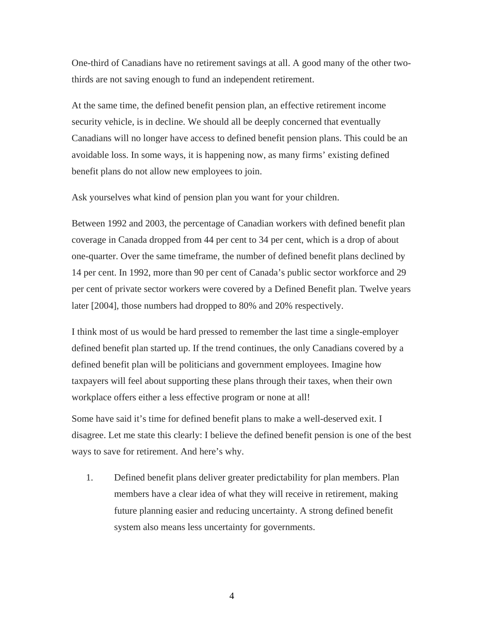One-third of Canadians have no retirement savings at all. A good many of the other twothirds are not saving enough to fund an independent retirement.

At the same time, the defined benefit pension plan, an effective retirement income security vehicle, is in decline. We should all be deeply concerned that eventually Canadians will no longer have access to defined benefit pension plans. This could be an avoidable loss. In some ways, it is happening now, as many firms' existing defined benefit plans do not allow new employees to join.

Ask yourselves what kind of pension plan you want for your children.

Between 1992 and 2003, the percentage of Canadian workers with defined benefit plan coverage in Canada dropped from 44 per cent to 34 per cent, which is a drop of about one-quarter. Over the same timeframe, the number of defined benefit plans declined by 14 per cent. In 1992, more than 90 per cent of Canada's public sector workforce and 29 per cent of private sector workers were covered by a Defined Benefit plan. Twelve years later [2004], those numbers had dropped to 80% and 20% respectively.

I think most of us would be hard pressed to remember the last time a single-employer defined benefit plan started up. If the trend continues, the only Canadians covered by a defined benefit plan will be politicians and government employees. Imagine how taxpayers will feel about supporting these plans through their taxes, when their own workplace offers either a less effective program or none at all!

Some have said it's time for defined benefit plans to make a well-deserved exit. I disagree. Let me state this clearly: I believe the defined benefit pension is one of the best ways to save for retirement. And here's why.

1. Defined benefit plans deliver greater predictability for plan members. Plan members have a clear idea of what they will receive in retirement, making future planning easier and reducing uncertainty. A strong defined benefit system also means less uncertainty for governments.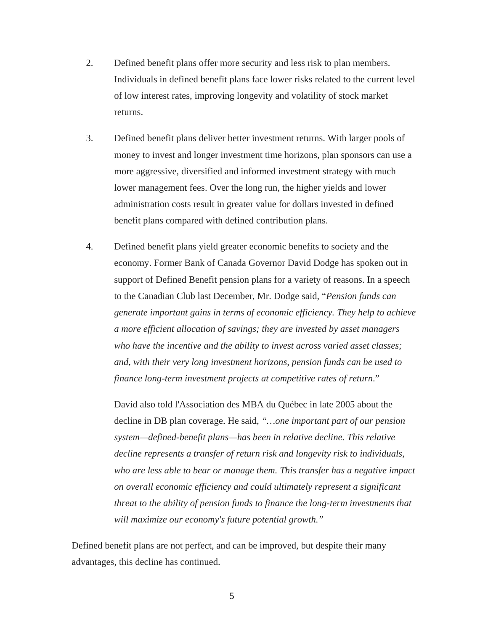- 2. Defined benefit plans offer more security and less risk to plan members. Individuals in defined benefit plans face lower risks related to the current level of low interest rates, improving longevity and volatility of stock market returns.
- 3. Defined benefit plans deliver better investment returns. With larger pools of money to invest and longer investment time horizons, plan sponsors can use a more aggressive, diversified and informed investment strategy with much lower management fees. Over the long run, the higher yields and lower administration costs result in greater value for dollars invested in defined benefit plans compared with defined contribution plans.
- 4. Defined benefit plans yield greater economic benefits to society and the economy. Former Bank of Canada Governor David Dodge has spoken out in support of Defined Benefit pension plans for a variety of reasons. In a speech to the Canadian Club last December, Mr. Dodge said, "*Pension funds can generate important gains in terms of economic efficiency. They help to achieve a more efficient allocation of savings; they are invested by asset managers who have the incentive and the ability to invest across varied asset classes; and, with their very long investment horizons, pension funds can be used to finance long-term investment projects at competitive rates of return*."

David also told l'Association des MBA du Québec in late 2005 about the decline in DB plan coverage. He said, *"…one important part of our pension system—defined-benefit plans—has been in relative decline. This relative decline represents a transfer of return risk and longevity risk to individuals, who are less able to bear or manage them. This transfer has a negative impact on overall economic efficiency and could ultimately represent a significant threat to the ability of pension funds to finance the long-term investments that will maximize our economy's future potential growth."*

Defined benefit plans are not perfect, and can be improved, but despite their many advantages, this decline has continued.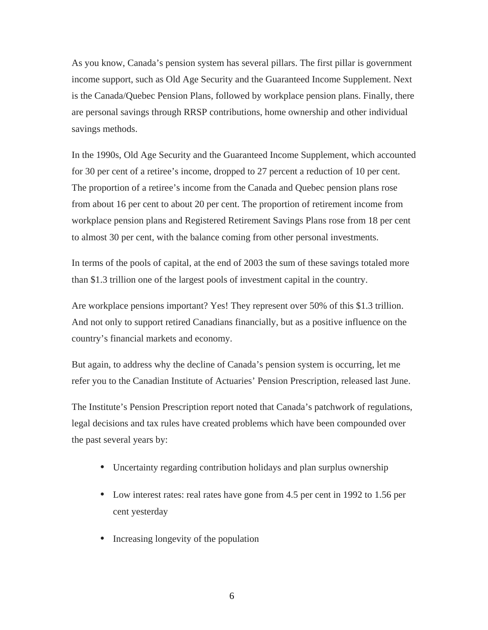As you know, Canada's pension system has several pillars. The first pillar is government income support, such as Old Age Security and the Guaranteed Income Supplement. Next is the Canada/Quebec Pension Plans, followed by workplace pension plans. Finally, there are personal savings through RRSP contributions, home ownership and other individual savings methods.

In the 1990s, Old Age Security and the Guaranteed Income Supplement, which accounted for 30 per cent of a retiree's income, dropped to 27 percent a reduction of 10 per cent. The proportion of a retiree's income from the Canada and Quebec pension plans rose from about 16 per cent to about 20 per cent. The proportion of retirement income from workplace pension plans and Registered Retirement Savings Plans rose from 18 per cent to almost 30 per cent, with the balance coming from other personal investments.

In terms of the pools of capital, at the end of 2003 the sum of these savings totaled more than \$1.3 trillion one of the largest pools of investment capital in the country.

Are workplace pensions important? Yes! They represent over 50% of this \$1.3 trillion. And not only to support retired Canadians financially, but as a positive influence on the country's financial markets and economy.

But again, to address why the decline of Canada's pension system is occurring, let me refer you to the Canadian Institute of Actuaries' Pension Prescription, released last June.

The Institute's Pension Prescription report noted that Canada's patchwork of regulations, legal decisions and tax rules have created problems which have been compounded over the past several years by:

- **•** Uncertainty regarding contribution holidays and plan surplus ownership
- Low interest rates: real rates have gone from 4.5 per cent in 1992 to 1.56 per cent yesterday
- **•** Increasing longevity of the population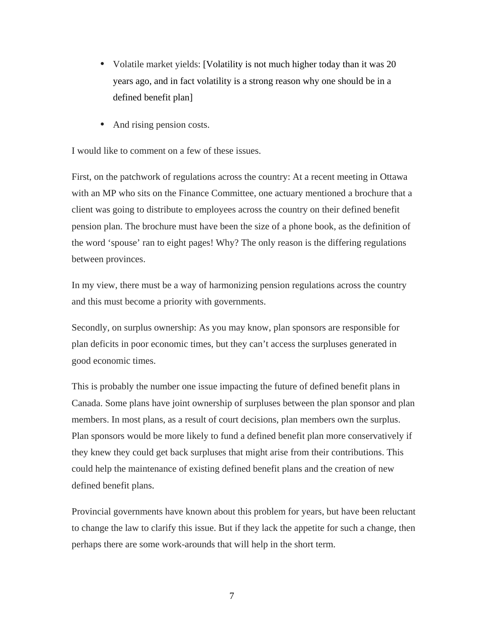- **•** Volatile market yields: [Volatility is not much higher today than it was 20 years ago, and in fact volatility is a strong reason why one should be in a defined benefit plan]
- And rising pension costs.

I would like to comment on a few of these issues.

First, on the patchwork of regulations across the country: At a recent meeting in Ottawa with an MP who sits on the Finance Committee, one actuary mentioned a brochure that a client was going to distribute to employees across the country on their defined benefit pension plan. The brochure must have been the size of a phone book, as the definition of the word 'spouse' ran to eight pages! Why? The only reason is the differing regulations between provinces.

In my view, there must be a way of harmonizing pension regulations across the country and this must become a priority with governments.

Secondly, on surplus ownership: As you may know, plan sponsors are responsible for plan deficits in poor economic times, but they can't access the surpluses generated in good economic times.

This is probably the number one issue impacting the future of defined benefit plans in Canada. Some plans have joint ownership of surpluses between the plan sponsor and plan members. In most plans, as a result of court decisions, plan members own the surplus. Plan sponsors would be more likely to fund a defined benefit plan more conservatively if they knew they could get back surpluses that might arise from their contributions. This could help the maintenance of existing defined benefit plans and the creation of new defined benefit plans.

Provincial governments have known about this problem for years, but have been reluctant to change the law to clarify this issue. But if they lack the appetite for such a change, then perhaps there are some work-arounds that will help in the short term.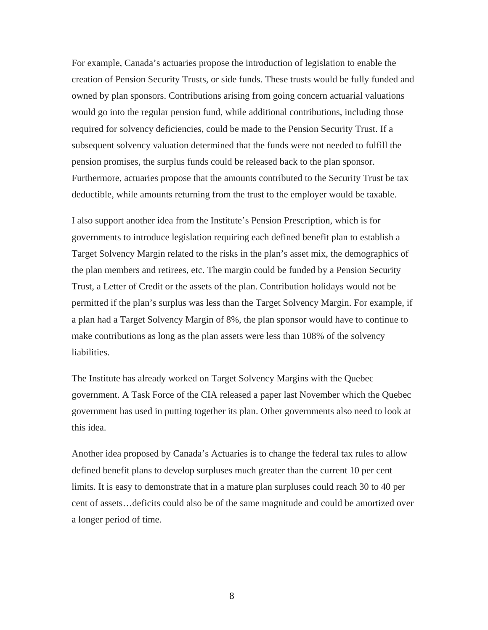For example, Canada's actuaries propose the introduction of legislation to enable the creation of Pension Security Trusts, or side funds. These trusts would be fully funded and owned by plan sponsors. Contributions arising from going concern actuarial valuations would go into the regular pension fund, while additional contributions, including those required for solvency deficiencies, could be made to the Pension Security Trust. If a subsequent solvency valuation determined that the funds were not needed to fulfill the pension promises, the surplus funds could be released back to the plan sponsor. Furthermore, actuaries propose that the amounts contributed to the Security Trust be tax deductible, while amounts returning from the trust to the employer would be taxable.

I also support another idea from the Institute's Pension Prescription, which is for governments to introduce legislation requiring each defined benefit plan to establish a Target Solvency Margin related to the risks in the plan's asset mix, the demographics of the plan members and retirees, etc. The margin could be funded by a Pension Security Trust, a Letter of Credit or the assets of the plan. Contribution holidays would not be permitted if the plan's surplus was less than the Target Solvency Margin. For example, if a plan had a Target Solvency Margin of 8%, the plan sponsor would have to continue to make contributions as long as the plan assets were less than 108% of the solvency liabilities.

The Institute has already worked on Target Solvency Margins with the Quebec government. A Task Force of the CIA released a paper last November which the Quebec government has used in putting together its plan. Other governments also need to look at this idea.

Another idea proposed by Canada's Actuaries is to change the federal tax rules to allow defined benefit plans to develop surpluses much greater than the current 10 per cent limits. It is easy to demonstrate that in a mature plan surpluses could reach 30 to 40 per cent of assets…deficits could also be of the same magnitude and could be amortized over a longer period of time.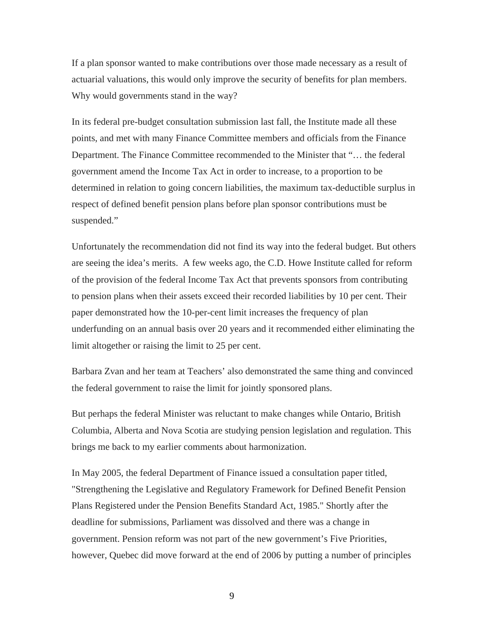If a plan sponsor wanted to make contributions over those made necessary as a result of actuarial valuations, this would only improve the security of benefits for plan members. Why would governments stand in the way?

In its federal pre-budget consultation submission last fall, the Institute made all these points, and met with many Finance Committee members and officials from the Finance Department. The Finance Committee recommended to the Minister that "… the federal government amend the Income Tax Act in order to increase, to a proportion to be determined in relation to going concern liabilities, the maximum tax-deductible surplus in respect of defined benefit pension plans before plan sponsor contributions must be suspended."

Unfortunately the recommendation did not find its way into the federal budget. But others are seeing the idea's merits. A few weeks ago, the C.D. Howe Institute called for reform of the provision of the federal Income Tax Act that prevents sponsors from contributing to pension plans when their assets exceed their recorded liabilities by 10 per cent. Their paper demonstrated how the 10-per-cent limit increases the frequency of plan underfunding on an annual basis over 20 years and it recommended either eliminating the limit altogether or raising the limit to 25 per cent.

Barbara Zvan and her team at Teachers' also demonstrated the same thing and convinced the federal government to raise the limit for jointly sponsored plans.

But perhaps the federal Minister was reluctant to make changes while Ontario, British Columbia, Alberta and Nova Scotia are studying pension legislation and regulation. This brings me back to my earlier comments about harmonization.

In May 2005, the federal Department of Finance issued a consultation paper titled, "Strengthening the Legislative and Regulatory Framework for Defined Benefit Pension Plans Registered under the Pension Benefits Standard Act, 1985." Shortly after the deadline for submissions, Parliament was dissolved and there was a change in government. Pension reform was not part of the new government's Five Priorities, however, Quebec did move forward at the end of 2006 by putting a number of principles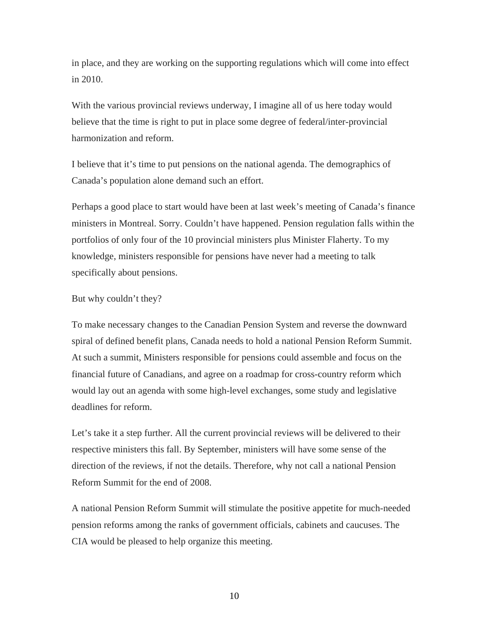in place, and they are working on the supporting regulations which will come into effect in 2010.

With the various provincial reviews underway, I imagine all of us here today would believe that the time is right to put in place some degree of federal/inter-provincial harmonization and reform.

I believe that it's time to put pensions on the national agenda. The demographics of Canada's population alone demand such an effort.

Perhaps a good place to start would have been at last week's meeting of Canada's finance ministers in Montreal. Sorry. Couldn't have happened. Pension regulation falls within the portfolios of only four of the 10 provincial ministers plus Minister Flaherty. To my knowledge, ministers responsible for pensions have never had a meeting to talk specifically about pensions.

#### But why couldn't they?

To make necessary changes to the Canadian Pension System and reverse the downward spiral of defined benefit plans, Canada needs to hold a national Pension Reform Summit. At such a summit, Ministers responsible for pensions could assemble and focus on the financial future of Canadians, and agree on a roadmap for cross-country reform which would lay out an agenda with some high-level exchanges, some study and legislative deadlines for reform.

Let's take it a step further. All the current provincial reviews will be delivered to their respective ministers this fall. By September, ministers will have some sense of the direction of the reviews, if not the details. Therefore, why not call a national Pension Reform Summit for the end of 2008.

A national Pension Reform Summit will stimulate the positive appetite for much-needed pension reforms among the ranks of government officials, cabinets and caucuses. The CIA would be pleased to help organize this meeting.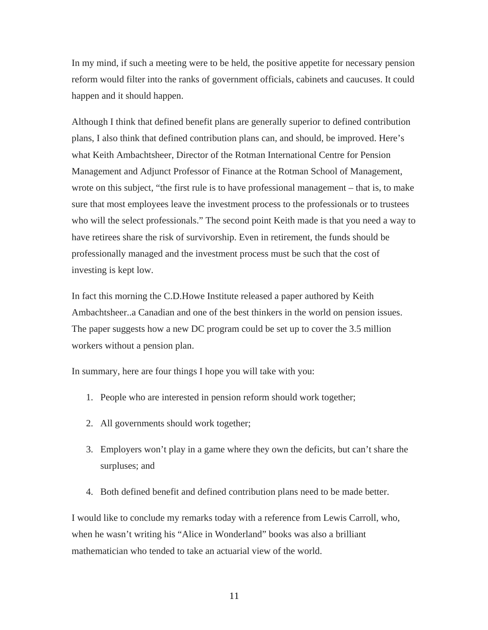In my mind, if such a meeting were to be held, the positive appetite for necessary pension reform would filter into the ranks of government officials, cabinets and caucuses. It could happen and it should happen.

Although I think that defined benefit plans are generally superior to defined contribution plans, I also think that defined contribution plans can, and should, be improved. Here's what Keith Ambachtsheer, Director of the Rotman International Centre for Pension Management and Adjunct Professor of Finance at the Rotman School of Management, wrote on this subject, "the first rule is to have professional management – that is, to make sure that most employees leave the investment process to the professionals or to trustees who will the select professionals." The second point Keith made is that you need a way to have retirees share the risk of survivorship. Even in retirement, the funds should be professionally managed and the investment process must be such that the cost of investing is kept low.

In fact this morning the C.D.Howe Institute released a paper authored by Keith Ambachtsheer..a Canadian and one of the best thinkers in the world on pension issues. The paper suggests how a new DC program could be set up to cover the 3.5 million workers without a pension plan.

In summary, here are four things I hope you will take with you:

- 1. People who are interested in pension reform should work together;
- 2. All governments should work together;
- 3. Employers won't play in a game where they own the deficits, but can't share the surpluses; and
- 4. Both defined benefit and defined contribution plans need to be made better.

I would like to conclude my remarks today with a reference from Lewis Carroll, who, when he wasn't writing his "Alice in Wonderland" books was also a brilliant mathematician who tended to take an actuarial view of the world.